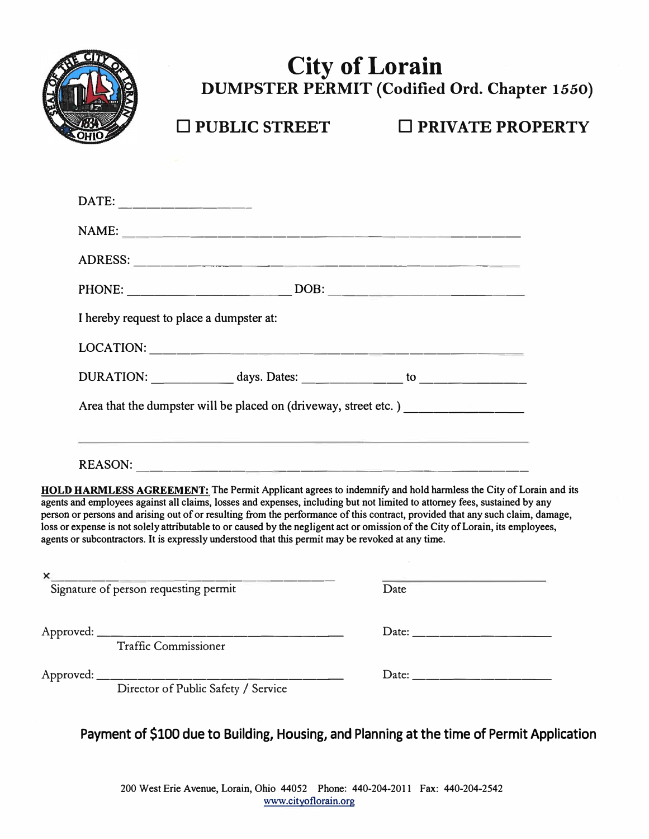

# **City of Lorain DUMPSTER PERMIT (Codified Ord. Chapter 1550)**

□ **PUBLIC STREET** □ **PRIVATE PROPERTY**

DATE: ---------- NAME: ----------------------------- ADRESS: ---------------------------- PHONE: ------------ DOB: -------------- I hereby request to place a dumpster at:  $\text{LOCATION:}$ 

| DURATION: | days. Dates: |  |  |
|-----------|--------------|--|--|
|-----------|--------------|--|--|

Area that the dumpster will be placed on (driveway, street etc.)

| <b>REASON:</b> |  |
|----------------|--|
|----------------|--|

**HOLD HARMLESS AGREEMENT:** The Permit Applicant agrees to indemnify and hold harmless the City of Lorain and its agents and employees against all claims, losses and expenses, including but not limited to attorney fees, sustained by any person or persons and arising out of or resulting from the performance of this contract, provided that any such claim, damage, loss or expense is not solely attributable to or caused by the negligent act or omission of the City of Lorain, its employees, agents or subcontractors. It is expressly understood that this permit may be revoked at any time.

| $\times$                              |                                                                                   |      |  |
|---------------------------------------|-----------------------------------------------------------------------------------|------|--|
| Signature of person requesting permit |                                                                                   | Date |  |
|                                       | <b>Traffic Commissioner</b>                                                       |      |  |
|                                       | Approved: ________________________________<br>Director of Public Safety / Service |      |  |

**Payment of \$100 due to Building, Housing, and Planning at the time of Permit Application**